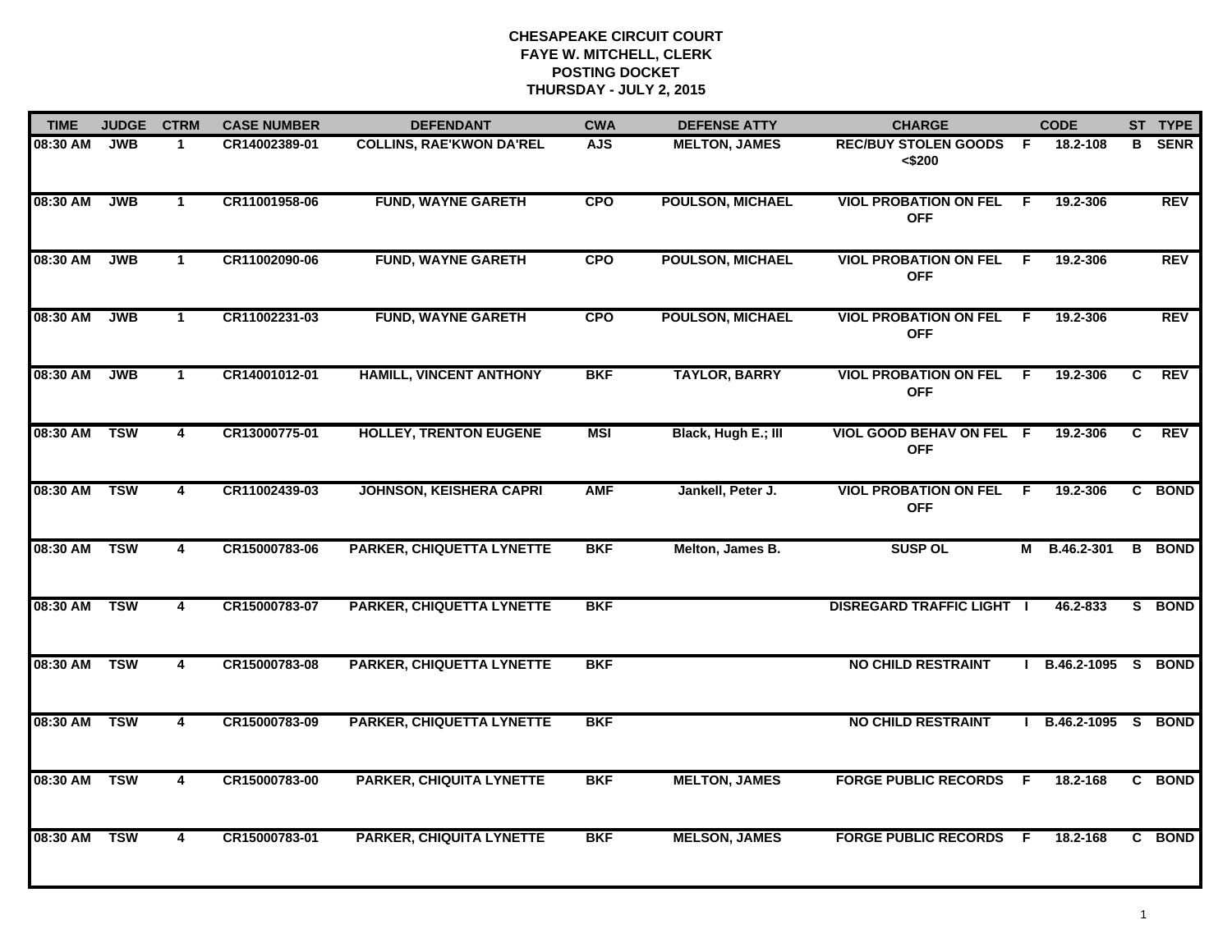| <b>TIME</b>  | <b>JUDGE</b> | <b>CTRM</b>             | <b>CASE NUMBER</b> | <b>DEFENDANT</b>                 | <b>CWA</b> | <b>DEFENSE ATTY</b>     | <b>CHARGE</b>                              |     | <b>CODE</b>     |    | ST TYPE     |
|--------------|--------------|-------------------------|--------------------|----------------------------------|------------|-------------------------|--------------------------------------------|-----|-----------------|----|-------------|
| 08:30 AM     | <b>JWB</b>   | 1.                      | CR14002389-01      | <b>COLLINS, RAE'KWON DA'REL</b>  | <b>AJS</b> | <b>MELTON, JAMES</b>    | <b>REC/BUY STOLEN GOODS</b><br>< \$200     | -F  | 18.2-108        | в  | <b>SENR</b> |
| 08:30 AM     | <b>JWB</b>   | $\mathbf{1}$            | CR11001958-06      | <b>FUND, WAYNE GARETH</b>        | <b>CPO</b> | <b>POULSON, MICHAEL</b> | <b>VIOL PROBATION ON FEL</b><br><b>OFF</b> | F.  | 19.2-306        |    | <b>REV</b>  |
| 08:30 AM     | <b>JWB</b>   | $\mathbf{1}$            | CR11002090-06      | <b>FUND, WAYNE GARETH</b>        | <b>CPO</b> | <b>POULSON, MICHAEL</b> | <b>VIOL PROBATION ON FEL</b><br><b>OFF</b> | F.  | 19.2-306        |    | <b>REV</b>  |
| 08:30 AM     | <b>JWB</b>   | $\mathbf{1}$            | CR11002231-03      | <b>FUND, WAYNE GARETH</b>        | <b>CPO</b> | <b>POULSON, MICHAEL</b> | <b>VIOL PROBATION ON FEL</b><br><b>OFF</b> | -F  | 19.2-306        |    | <b>REV</b>  |
| 08:30 AM     | <b>JWB</b>   | $\mathbf{1}$            | CR14001012-01      | <b>HAMILL, VINCENT ANTHONY</b>   | <b>BKF</b> | <b>TAYLOR, BARRY</b>    | <b>VIOL PROBATION ON FEL</b><br><b>OFF</b> | - F | 19.2-306        | C. | <b>REV</b>  |
| 08:30 AM     | <b>TSW</b>   | $\overline{\mathbf{4}}$ | CR13000775-01      | <b>HOLLEY, TRENTON EUGENE</b>    | <b>MSI</b> | Black, Hugh E.; III     | VIOL GOOD BEHAV ON FEL F<br><b>OFF</b>     |     | 19.2-306        | C  | <b>REV</b>  |
| 08:30 AM     | <b>TSW</b>   | $\overline{\mathbf{4}}$ | CR11002439-03      | <b>JOHNSON, KEISHERA CAPRI</b>   | <b>AMF</b> | Jankell, Peter J.       | <b>VIOL PROBATION ON FEL</b><br><b>OFF</b> | F.  | 19.2-306        |    | C BOND      |
| 08:30 AM     | <b>TSW</b>   | 4                       | CR15000783-06      | <b>PARKER, CHIQUETTA LYNETTE</b> | <b>BKF</b> | Melton, James B.        | <b>SUSP OL</b>                             | M   | B.46.2-301      | B  | <b>BOND</b> |
| 08:30 AM     | <b>TSW</b>   | 4                       | CR15000783-07      | <b>PARKER, CHIQUETTA LYNETTE</b> | <b>BKF</b> |                         | <b>DISREGARD TRAFFIC LIGHT  </b>           |     | 46.2-833        |    | S BOND      |
| 08:30 AM TSW |              | 4                       | CR15000783-08      | <b>PARKER, CHIQUETTA LYNETTE</b> | <b>BKF</b> |                         | <b>NO CHILD RESTRAINT</b>                  |     | $B.46.2 - 1095$ | S. | <b>BOND</b> |
| 08:30 AM TSW |              | $\overline{\mathbf{4}}$ | CR15000783-09      | <b>PARKER, CHIQUETTA LYNETTE</b> | <b>BKF</b> |                         | <b>NO CHILD RESTRAINT</b>                  |     | B.46.2-1095 S   |    | <b>BOND</b> |
| 08:30 AM     | <b>TSW</b>   | $\overline{\mathbf{4}}$ | CR15000783-00      | <b>PARKER, CHIQUITA LYNETTE</b>  | <b>BKF</b> | <b>MELTON, JAMES</b>    | <b>FORGE PUBLIC RECORDS</b>                | - F | 18.2-168        |    | C BOND      |
| 08:30 AM     | <b>TSW</b>   | 4                       | CR15000783-01      | <b>PARKER, CHIQUITA LYNETTE</b>  | <b>BKF</b> | <b>MELSON, JAMES</b>    | <b>FORGE PUBLIC RECORDS</b>                | - F | 18.2-168        |    | C BOND      |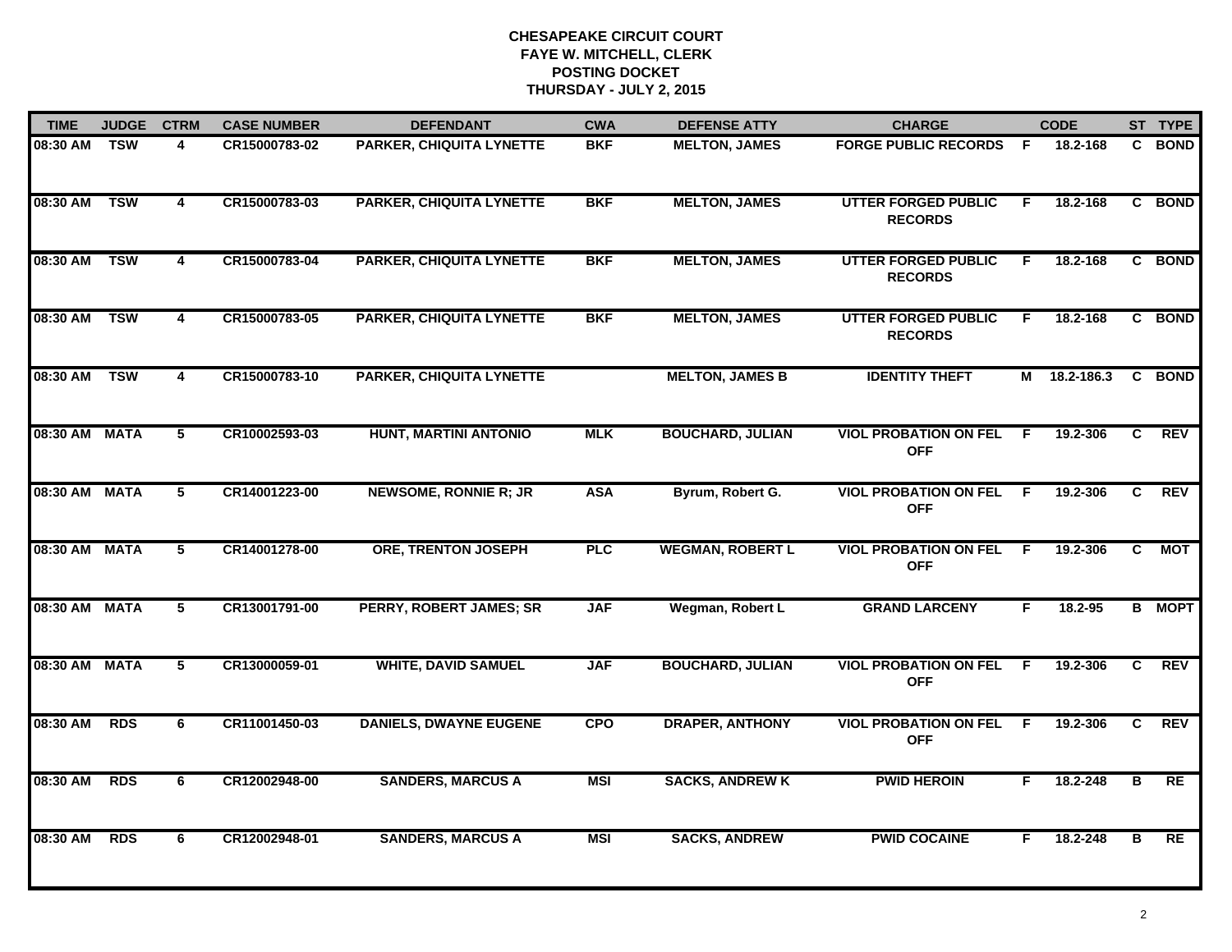| <b>TIME</b>   | <b>JUDGE</b> | <b>CTRM</b>             | <b>CASE NUMBER</b> | <b>DEFENDANT</b>                | <b>CWA</b> | <b>DEFENSE ATTY</b>     | <b>CHARGE</b>                                |     | <b>CODE</b> |    | ST TYPE       |
|---------------|--------------|-------------------------|--------------------|---------------------------------|------------|-------------------------|----------------------------------------------|-----|-------------|----|---------------|
| 08:30 AM TSW  |              | 4                       | CR15000783-02      | <b>PARKER, CHIQUITA LYNETTE</b> | <b>BKF</b> | <b>MELTON, JAMES</b>    | <b>FORGE PUBLIC RECORDS</b>                  | - F | 18.2-168    | C. | <b>BOND</b>   |
| 08:30 AM      | <b>TSW</b>   | $\overline{\mathbf{4}}$ | CR15000783-03      | <b>PARKER, CHIQUITA LYNETTE</b> | <b>BKF</b> | <b>MELTON, JAMES</b>    | <b>UTTER FORGED PUBLIC</b><br><b>RECORDS</b> | F   | 18.2-168    | C. | <b>BOND</b>   |
| 08:30 AM      | <b>TSW</b>   | 4                       | CR15000783-04      | <b>PARKER, CHIQUITA LYNETTE</b> | <b>BKF</b> | <b>MELTON, JAMES</b>    | <b>UTTER FORGED PUBLIC</b><br><b>RECORDS</b> | F   | 18.2-168    |    | C BOND        |
| 08:30 AM      | <b>TSW</b>   | 4                       | CR15000783-05      | <b>PARKER, CHIQUITA LYNETTE</b> | <b>BKF</b> | <b>MELTON, JAMES</b>    | <b>UTTER FORGED PUBLIC</b><br><b>RECORDS</b> | F.  | 18.2-168    |    | C BOND        |
| 08:30 AM      | <b>TSW</b>   | 4                       | CR15000783-10      | <b>PARKER, CHIQUITA LYNETTE</b> |            | <b>MELTON, JAMES B</b>  | <b>IDENTITY THEFT</b>                        | М   | 18.2-186.3  |    | C BOND        |
| 08:30 AM MATA |              | 5                       | CR10002593-03      | HUNT, MARTINI ANTONIO           | <b>MLK</b> | <b>BOUCHARD, JULIAN</b> | <b>VIOL PROBATION ON FEL</b><br><b>OFF</b>   | -F  | 19.2-306    | C  | REV           |
| 08:30 AM MATA |              | $5\phantom{.0}$         | CR14001223-00      | <b>NEWSOME, RONNIE R; JR</b>    | <b>ASA</b> | Byrum, Robert G.        | <b>VIOL PROBATION ON FEL</b><br><b>OFF</b>   | - F | 19.2-306    | C  | <b>REV</b>    |
| 08:30 AM MATA |              | 5                       | CR14001278-00      | <b>ORE, TRENTON JOSEPH</b>      | <b>PLC</b> | <b>WEGMAN, ROBERT L</b> | <b>VIOL PROBATION ON FEL</b><br><b>OFF</b>   | -F  | 19.2-306    | C. | <b>MOT</b>    |
| 08:30 AM MATA |              | 5                       | CR13001791-00      | <b>PERRY, ROBERT JAMES; SR</b>  | <b>JAF</b> | Wegman, Robert L        | <b>GRAND LARCENY</b>                         | F   | 18.2-95     |    | <b>B</b> MOPT |
| 08:30 AM MATA |              | 5                       | CR13000059-01      | <b>WHITE, DAVID SAMUEL</b>      | <b>JAF</b> | <b>BOUCHARD, JULIAN</b> | <b>VIOL PROBATION ON FEL</b><br><b>OFF</b>   | E   | 19.2-306    | C. | <b>REV</b>    |
| 08:30 AM      | <b>RDS</b>   | 6                       | CR11001450-03      | <b>DANIELS, DWAYNE EUGENE</b>   | <b>CPO</b> | <b>DRAPER, ANTHONY</b>  | <b>VIOL PROBATION ON FEL</b><br><b>OFF</b>   | -F  | 19.2-306    | C. | <b>REV</b>    |
| 08:30 AM      | <b>RDS</b>   | 6                       | CR12002948-00      | <b>SANDERS, MARCUS A</b>        | <b>MSI</b> | <b>SACKS, ANDREW K</b>  | <b>PWID HEROIN</b>                           | F.  | 18.2-248    | В  | RE            |
| 08:30 AM      | <b>RDS</b>   | 6                       | CR12002948-01      | <b>SANDERS, MARCUS A</b>        | <b>MSI</b> | <b>SACKS, ANDREW</b>    | <b>PWID COCAINE</b>                          | F   | 18.2-248    | в  | <b>RE</b>     |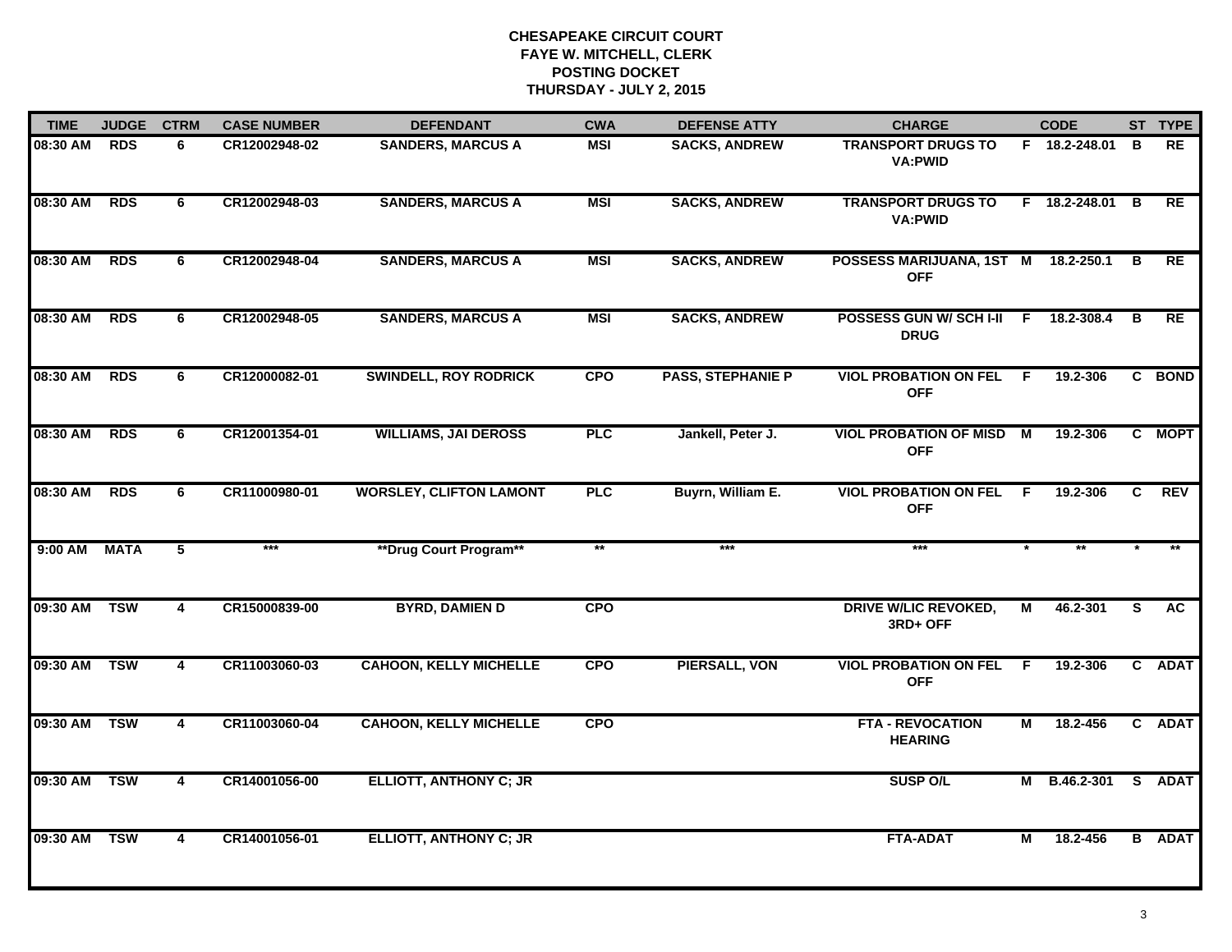| <b>TIME</b> | <b>JUDGE</b> | <b>CTRM</b>             | <b>CASE NUMBER</b> | <b>DEFENDANT</b>               | <b>CWA</b> | <b>DEFENSE ATTY</b>      | <b>CHARGE</b>                                 | <b>CODE</b> |                 |                | ST TYPE       |
|-------------|--------------|-------------------------|--------------------|--------------------------------|------------|--------------------------|-----------------------------------------------|-------------|-----------------|----------------|---------------|
| 08:30 AM    | <b>RDS</b>   | 6                       | CR12002948-02      | <b>SANDERS, MARCUS A</b>       | MSI        | <b>SACKS, ANDREW</b>     | <b>TRANSPORT DRUGS TO</b><br><b>VA:PWID</b>   |             | F 18.2-248.01   | B              | <b>RE</b>     |
| 08:30 AM    | <b>RDS</b>   | 6                       | CR12002948-03      | <b>SANDERS, MARCUS A</b>       | <b>MSI</b> | <b>SACKS, ANDREW</b>     | <b>TRANSPORT DRUGS TO</b><br><b>VA:PWID</b>   |             | F 18.2-248.01 B |                | <b>RE</b>     |
| 08:30 AM    | <b>RDS</b>   | 6                       | CR12002948-04      | <b>SANDERS, MARCUS A</b>       | <b>MSI</b> | <b>SACKS, ANDREW</b>     | POSSESS MARIJUANA, 1ST M<br><b>OFF</b>        |             | 18.2-250.1      | B              | RE            |
| 08:30 AM    | <b>RDS</b>   | 6                       | CR12002948-05      | <b>SANDERS, MARCUS A</b>       | <b>MSI</b> | <b>SACKS, ANDREW</b>     | POSSESS GUN W/ SCH I-II<br><b>DRUG</b>        | - F         | 18.2-308.4      | В              | <b>RE</b>     |
| 08:30 AM    | <b>RDS</b>   | 6                       | CR12000082-01      | <b>SWINDELL, ROY RODRICK</b>   | <b>CPO</b> | <b>PASS, STEPHANIE P</b> | <b>VIOL PROBATION ON FEL</b><br><b>OFF</b>    | F.          | 19.2-306        |                | C BOND        |
| 08:30 AM    | <b>RDS</b>   | 6                       | CR12001354-01      | <b>WILLIAMS, JAI DEROSS</b>    | PLC        | Jankell, Peter J.        | <b>VIOL PROBATION OF MISD M</b><br><b>OFF</b> |             | 19.2-306        |                | C MOPT        |
| 08:30 AM    | <b>RDS</b>   | 6                       | CR11000980-01      | <b>WORSLEY, CLIFTON LAMONT</b> | PLC        | Buyrn, William E.        | <b>VIOL PROBATION ON FEL</b><br><b>OFF</b>    | - F         | 19.2-306        | $\overline{c}$ | REV           |
| $9:00$ AM   | <b>MATA</b>  | $\overline{5}$          | $***$              | **Drug Court Program**         | $**$       | $***$                    | $***$                                         |             |                 |                |               |
| 09:30 AM    | <b>TSW</b>   | 4                       | CR15000839-00      | <b>BYRD, DAMIEN D</b>          | <b>CPO</b> |                          | <b>DRIVE W/LIC REVOKED,</b><br>3RD+ OFF       | М           | 46.2-301        | S              | <b>AC</b>     |
| 09:30 AM    | <b>TSW</b>   | 4                       | CR11003060-03      | <b>CAHOON, KELLY MICHELLE</b>  | <b>CPO</b> | <b>PIERSALL, VON</b>     | <b>VIOL PROBATION ON FEL</b><br><b>OFF</b>    | E           | 19.2-306        |                | C ADAT        |
| 09:30 AM    | <b>TSW</b>   | $\overline{\mathbf{4}}$ | CR11003060-04      | <b>CAHOON, KELLY MICHELLE</b>  | <b>CPO</b> |                          | <b>FTA - REVOCATION</b><br><b>HEARING</b>     | М           | 18.2-456        |                | C ADAT        |
| 09:30 AM    | <b>TSW</b>   | $\overline{\mathbf{4}}$ | CR14001056-00      | <b>ELLIOTT, ANTHONY C; JR</b>  |            |                          | <b>SUSP O/L</b>                               | М           | B.46.2-301      |                | S ADAT        |
| 09:30 AM    | <b>TSW</b>   | 4                       | CR14001056-01      | <b>ELLIOTT, ANTHONY C; JR</b>  |            |                          | <b>FTA-ADAT</b>                               | М           | 18.2-456        |                | <b>B</b> ADAT |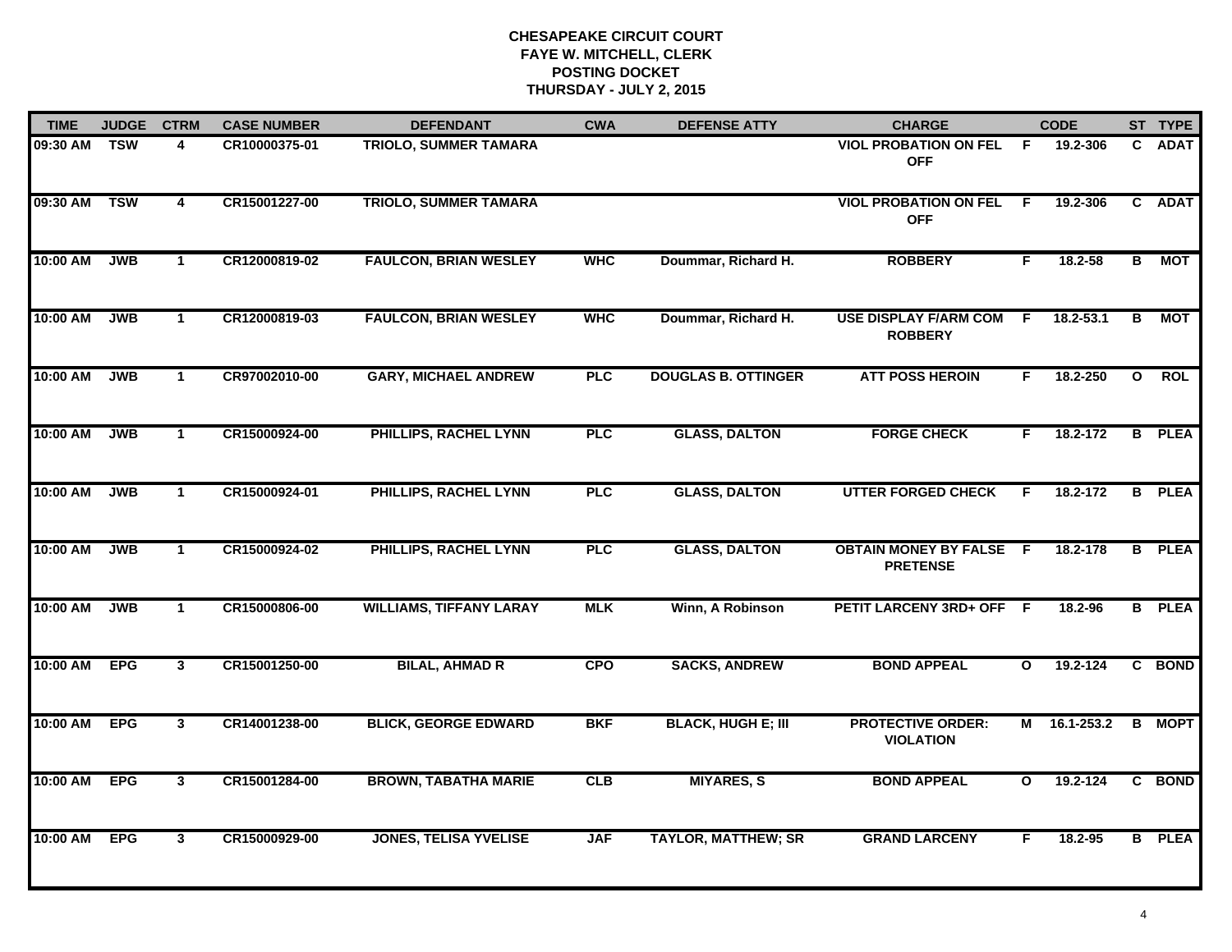| <b>TIME</b> | <b>JUDGE</b> | <b>CTRM</b>    | <b>CASE NUMBER</b> | <b>DEFENDANT</b>               | <b>CWA</b> | <b>DEFENSE ATTY</b>        | <b>CHARGE</b>                                     |              | <b>CODE</b>  |                | ST TYPE       |
|-------------|--------------|----------------|--------------------|--------------------------------|------------|----------------------------|---------------------------------------------------|--------------|--------------|----------------|---------------|
| 09:30 AM    | <b>TSW</b>   | 4              | CR10000375-01      | <b>TRIOLO, SUMMER TAMARA</b>   |            |                            | <b>VIOL PROBATION ON FEL</b><br><b>OFF</b>        | - F          | 19.2-306     |                | C ADAT        |
| 09:30 AM    | <b>TSW</b>   | 4              | CR15001227-00      | <b>TRIOLO, SUMMER TAMARA</b>   |            |                            | <b>VIOL PROBATION ON FEL</b><br><b>OFF</b>        | F            | 19.2-306     |                | C ADAT        |
| 10:00 AM    | <b>JWB</b>   | $\mathbf{1}$   | CR12000819-02      | <b>FAULCON, BRIAN WESLEY</b>   | <b>WHC</b> | Doummar, Richard H.        | <b>ROBBERY</b>                                    | F            | 18.2-58      | B              | МОТ           |
| 10:00 AM    | <b>JWB</b>   | $\overline{1}$ | CR12000819-03      | <b>FAULCON, BRIAN WESLEY</b>   | <b>WHC</b> | Doummar, Richard H.        | <b>USE DISPLAY F/ARM COM</b><br><b>ROBBERY</b>    | - F          | 18.2-53.1    | В              | МОТ           |
| 10:00 AM    | <b>JWB</b>   | $\mathbf{1}$   | CR97002010-00      | <b>GARY, MICHAEL ANDREW</b>    | PLC        | <b>DOUGLAS B. OTTINGER</b> | <b>ATT POSS HEROIN</b>                            | F.           | 18.2-250     | $\mathbf{o}$   | <b>ROL</b>    |
| 10:00 AM    | <b>JWB</b>   | $\mathbf{1}$   | CR15000924-00      | PHILLIPS, RACHEL LYNN          | <b>PLC</b> | <b>GLASS, DALTON</b>       | <b>FORGE CHECK</b>                                | F.           | 18.2-172     |                | <b>B</b> PLEA |
| 10:00 AM    | <b>JWB</b>   | $\mathbf{1}$   | CR15000924-01      | PHILLIPS, RACHEL LYNN          | <b>PLC</b> | <b>GLASS, DALTON</b>       | <b>UTTER FORGED CHECK</b>                         | F.           | 18.2-172     | $\overline{B}$ | <b>PLEA</b>   |
| 10:00 AM    | <b>JWB</b>   | $\mathbf{1}$   | CR15000924-02      | <b>PHILLIPS, RACHEL LYNN</b>   | <b>PLC</b> | <b>GLASS, DALTON</b>       | <b>OBTAIN MONEY BY FALSE F</b><br><b>PRETENSE</b> |              | 18.2-178     |                | <b>B</b> PLEA |
| 10:00 AM    | <b>JWB</b>   | $\mathbf 1$    | CR15000806-00      | <b>WILLIAMS, TIFFANY LARAY</b> | <b>MLK</b> | Winn, A Robinson           | PETIT LARCENY 3RD+ OFF F                          |              | 18.2-96      |                | <b>B</b> PLEA |
| 10:00 AM    | <b>EPG</b>   | 3 <sup>1</sup> | CR15001250-00      | <b>BILAL, AHMAD R</b>          | <b>CPO</b> | <b>SACKS, ANDREW</b>       | <b>BOND APPEAL</b>                                | $\mathbf{o}$ | $19.2 - 124$ |                | C BOND        |
| 10:00 AM    | <b>EPG</b>   | $\mathbf{3}$   | CR14001238-00      | <b>BLICK, GEORGE EDWARD</b>    | <b>BKF</b> | <b>BLACK, HUGH E; III</b>  | <b>PROTECTIVE ORDER:</b><br><b>VIOLATION</b>      |              | M 16.1-253.2 |                | <b>B</b> MOPT |
| 10:00 AM    | <b>EPG</b>   | $\mathbf{3}$   | CR15001284-00      | <b>BROWN, TABATHA MARIE</b>    | <b>CLB</b> | <b>MIYARES, S</b>          | <b>BOND APPEAL</b>                                | $\mathbf{o}$ | 19.2-124     |                | C BOND        |
| 10:00 AM    | <b>EPG</b>   | $\mathbf{3}$   | CR15000929-00      | <b>JONES, TELISA YVELISE</b>   | <b>JAF</b> | <b>TAYLOR, MATTHEW; SR</b> | <b>GRAND LARCENY</b>                              | F            | 18.2-95      |                | <b>B</b> PLEA |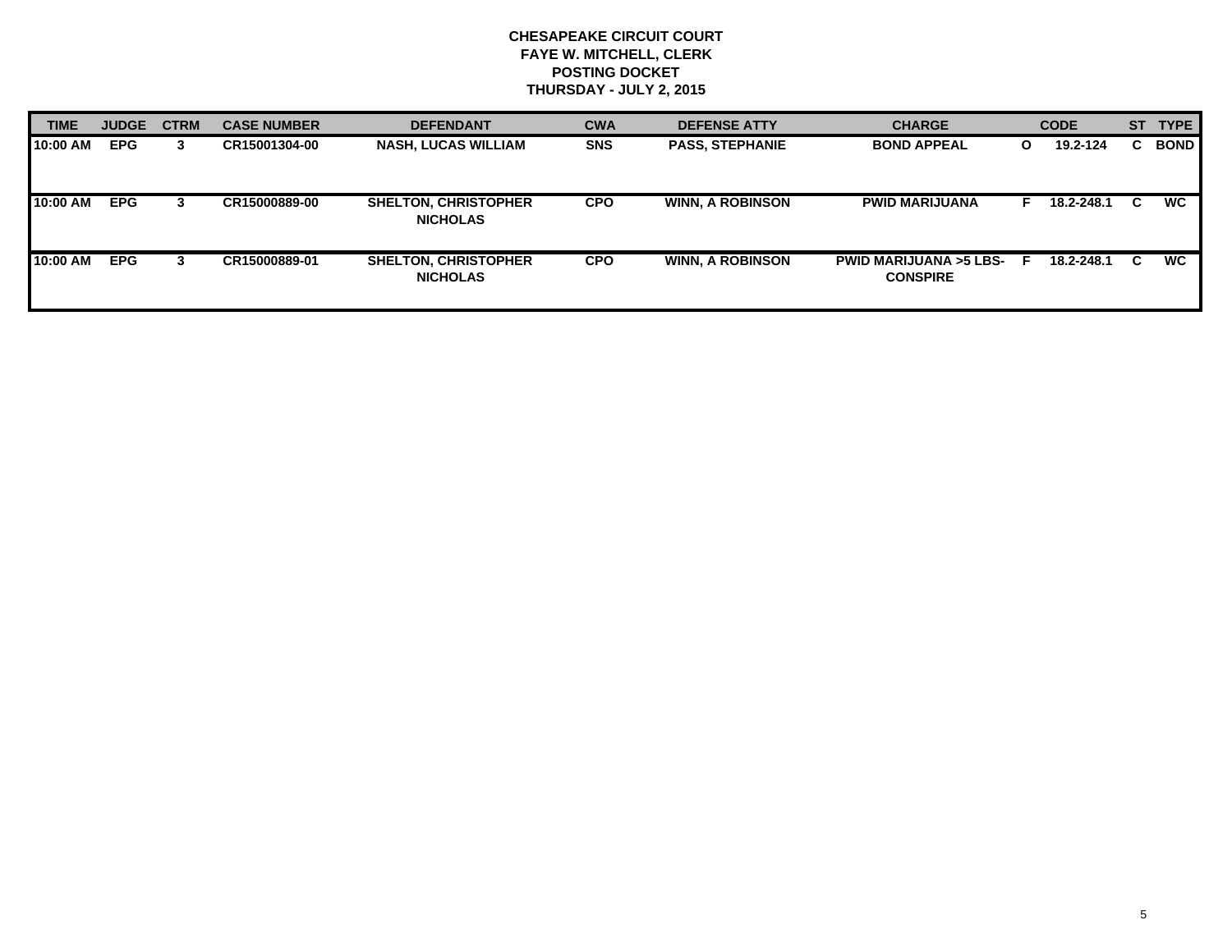| <b>TIME</b> | <b>JUDGE</b> | <b>CTRM</b> | <b>CASE NUMBER</b> | <b>DEFENDANT</b>                               | <b>CWA</b> | <b>DEFENSE ATTY</b>     | <b>CHARGE</b>                                       |   | <b>CODE</b> |    | ST TYPE     |
|-------------|--------------|-------------|--------------------|------------------------------------------------|------------|-------------------------|-----------------------------------------------------|---|-------------|----|-------------|
| 10:00 AM    | <b>EPG</b>   | 3           | CR15001304-00      | <b>NASH, LUCAS WILLIAM</b>                     | <b>SNS</b> | <b>PASS, STEPHANIE</b>  | <b>BOND APPEAL</b>                                  | O | 19.2-124    | C. | <b>BOND</b> |
| 10:00 AM    | <b>EPG</b>   |             | CR15000889-00      | <b>SHELTON, CHRISTOPHER</b><br><b>NICHOLAS</b> | <b>CPO</b> | <b>WINN, A ROBINSON</b> | <b>PWID MARIJUANA</b>                               |   | 18.2-248.1  | C. | <b>WC</b>   |
| 10:00 AM    | <b>EPG</b>   |             | CR15000889-01      | <b>SHELTON, CHRISTOPHER</b><br><b>NICHOLAS</b> | <b>CPO</b> | <b>WINN, A ROBINSON</b> | <b>PWID MARIJUANA &gt;5 LBS-</b><br><b>CONSPIRE</b> |   | 18.2-248.1  | C. | <b>WC</b>   |